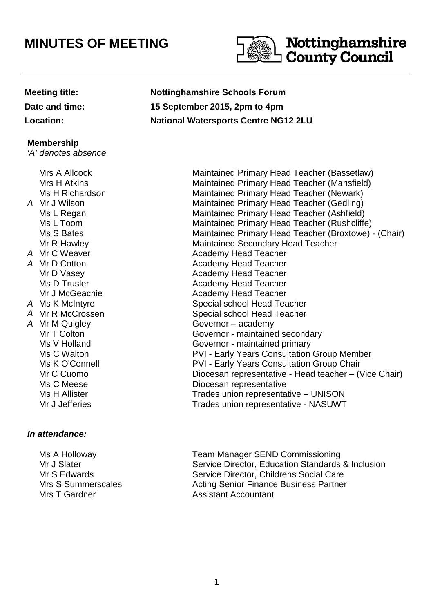## **MINUTES OF MEETING**



#### **Membership**

'A' denotes absence

# A Mr J Wilson A Mr C Weaver A Mr D Cotton Mrs A Allcock Mrs H Atkins Ms H Richardson Ms L Regan Ms L Toom Ms S Bates Mr R Hawley A Mr M Quigley Governor – academy

### **In attendance:**

 Ms A Holloway Mr J Slater Mr S Edwards Mrs S Summerscales Mrs T Gardner

**Meeting title: Nottinghamshire Schools Forum Date and time: 15 September 2015, 2pm to 4pm Location: National Watersports Centre NG12 2LU**

Maintained Primary Head Teacher (Bassetlaw) Maintained Primary Head Teacher (Mansfield) Maintained Primary Head Teacher (Newark) Maintained Primary Head Teacher (Gedling) Maintained Primary Head Teacher (Ashfield) Maintained Primary Head Teacher (Rushcliffe) Maintained Primary Head Teacher (Broxtowe) - (Chair) Maintained Secondary Head Teacher Academy Head Teacher Academy Head Teacher Mr D Vasey **Academy Head Teacher** Academy Head Teacher Ms D Trusler **Academy Head Teacher** Academy Head Teacher Mr J McGeachie **Academy Head Teacher** Academy Head Teacher A Ms K McIntyre Special school Head Teacher A Mr R McCrossen Special school Head Teacher Mr T Colton Governor - maintained secondary Ms V Holland **Governor** - maintained primary Ms C Walton **Matter Consultation Croup Member** PVI - Early Years Consultation Group Member Ms K O'Connell **No. 2018** PVI - Early Years Consultation Group Chair Mr C Cuomo **Diocesan representative - Head teacher** – (Vice Chair) Ms C Meese **Diocesan** representative Ms H Allister Trades union representative – UNISON Mr J Jefferies Trades union representative - NASUWT

> Team Manager SEND Commissioning Service Director, Education Standards & Inclusion Service Director, Childrens Social Care Acting Senior Finance Business Partner Assistant Accountant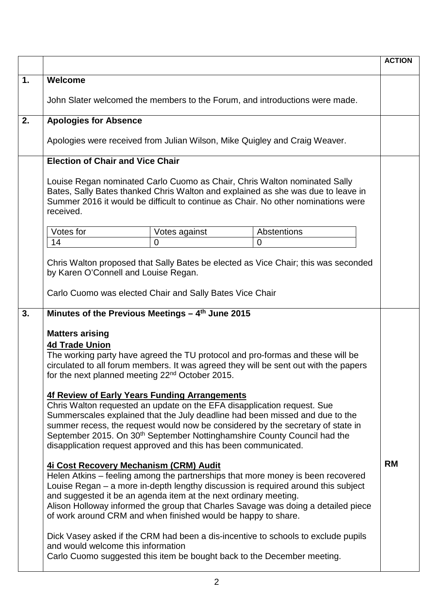|    |                                                                                                                                                                                                                                                                                                                                                                                                                                                        | <b>ACTION</b> |
|----|--------------------------------------------------------------------------------------------------------------------------------------------------------------------------------------------------------------------------------------------------------------------------------------------------------------------------------------------------------------------------------------------------------------------------------------------------------|---------------|
| 1. | <b>Welcome</b>                                                                                                                                                                                                                                                                                                                                                                                                                                         |               |
|    | John Slater welcomed the members to the Forum, and introductions were made.                                                                                                                                                                                                                                                                                                                                                                            |               |
| 2. | <b>Apologies for Absence</b>                                                                                                                                                                                                                                                                                                                                                                                                                           |               |
|    | Apologies were received from Julian Wilson, Mike Quigley and Craig Weaver.                                                                                                                                                                                                                                                                                                                                                                             |               |
|    | <b>Election of Chair and Vice Chair</b>                                                                                                                                                                                                                                                                                                                                                                                                                |               |
|    | Louise Regan nominated Carlo Cuomo as Chair, Chris Walton nominated Sally<br>Bates, Sally Bates thanked Chris Walton and explained as she was due to leave in<br>Summer 2016 it would be difficult to continue as Chair. No other nominations were<br>received.                                                                                                                                                                                        |               |
|    | Votes for<br>Abstentions<br>Votes against                                                                                                                                                                                                                                                                                                                                                                                                              |               |
|    | 14<br>0<br>$\Omega$                                                                                                                                                                                                                                                                                                                                                                                                                                    |               |
|    | Chris Walton proposed that Sally Bates be elected as Vice Chair; this was seconded<br>by Karen O'Connell and Louise Regan.<br>Carlo Cuomo was elected Chair and Sally Bates Vice Chair                                                                                                                                                                                                                                                                 |               |
| 3. | Minutes of the Previous Meetings $-4$ <sup>th</sup> June 2015                                                                                                                                                                                                                                                                                                                                                                                          |               |
|    | <b>Matters arising</b><br><b>4d Trade Union</b><br>The working party have agreed the TU protocol and pro-formas and these will be<br>circulated to all forum members. It was agreed they will be sent out with the papers<br>for the next planned meeting 22 <sup>nd</sup> October 2015.                                                                                                                                                               |               |
|    | 4f Review of Early Years Funding Arrangements<br>Chris Walton requested an update on the EFA disapplication request. Sue<br>Summerscales explained that the July deadline had been missed and due to the<br>summer recess, the request would now be considered by the secretary of state in<br>September 2015. On 30 <sup>th</sup> September Nottinghamshire County Council had the<br>disapplication request approved and this has been communicated. |               |
|    | 4i Cost Recovery Mechanism (CRM) Audit<br>Helen Atkins – feeling among the partnerships that more money is been recovered<br>Louise Regan – a more in-depth lengthy discussion is required around this subject<br>and suggested it be an agenda item at the next ordinary meeting.<br>Alison Holloway informed the group that Charles Savage was doing a detailed piece<br>of work around CRM and when finished would be happy to share.               | <b>RM</b>     |
|    | Dick Vasey asked if the CRM had been a dis-incentive to schools to exclude pupils<br>and would welcome this information<br>Carlo Cuomo suggested this item be bought back to the December meeting.                                                                                                                                                                                                                                                     |               |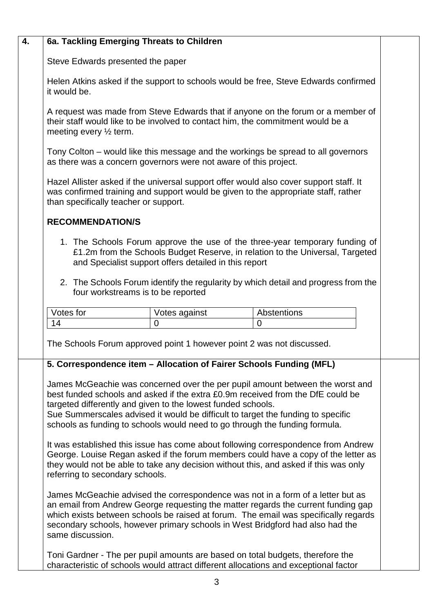|                                                                                                                                                                                                                                                                                                                                                                                                     | 6a. Tackling Emerging Threats to Children                             |                                                                                                                                                                                                                                                                                                                                              |  |  |  |
|-----------------------------------------------------------------------------------------------------------------------------------------------------------------------------------------------------------------------------------------------------------------------------------------------------------------------------------------------------------------------------------------------------|-----------------------------------------------------------------------|----------------------------------------------------------------------------------------------------------------------------------------------------------------------------------------------------------------------------------------------------------------------------------------------------------------------------------------------|--|--|--|
| Steve Edwards presented the paper                                                                                                                                                                                                                                                                                                                                                                   |                                                                       |                                                                                                                                                                                                                                                                                                                                              |  |  |  |
| Helen Atkins asked if the support to schools would be free, Steve Edwards confirmed<br>it would be.                                                                                                                                                                                                                                                                                                 |                                                                       |                                                                                                                                                                                                                                                                                                                                              |  |  |  |
| A request was made from Steve Edwards that if anyone on the forum or a member of<br>their staff would like to be involved to contact him, the commitment would be a<br>meeting every 1/2 term.                                                                                                                                                                                                      |                                                                       |                                                                                                                                                                                                                                                                                                                                              |  |  |  |
| Tony Colton – would like this message and the workings be spread to all governors<br>as there was a concern governors were not aware of this project.                                                                                                                                                                                                                                               |                                                                       |                                                                                                                                                                                                                                                                                                                                              |  |  |  |
| Hazel Allister asked if the universal support offer would also cover support staff. It<br>was confirmed training and support would be given to the appropriate staff, rather<br>than specifically teacher or support.                                                                                                                                                                               |                                                                       |                                                                                                                                                                                                                                                                                                                                              |  |  |  |
| <b>RECOMMENDATION/S</b>                                                                                                                                                                                                                                                                                                                                                                             |                                                                       |                                                                                                                                                                                                                                                                                                                                              |  |  |  |
| 1. The Schools Forum approve the use of the three-year temporary funding of<br>£1.2m from the Schools Budget Reserve, in relation to the Universal, Targeted<br>and Specialist support offers detailed in this report                                                                                                                                                                               |                                                                       |                                                                                                                                                                                                                                                                                                                                              |  |  |  |
| 2. The Schools Forum identify the regularity by which detail and progress from the<br>four workstreams is to be reported                                                                                                                                                                                                                                                                            |                                                                       |                                                                                                                                                                                                                                                                                                                                              |  |  |  |
| Votes for                                                                                                                                                                                                                                                                                                                                                                                           | Votes against                                                         | Abstentions                                                                                                                                                                                                                                                                                                                                  |  |  |  |
| 14                                                                                                                                                                                                                                                                                                                                                                                                  | $\overline{0}$                                                        | $\mathbf 0$                                                                                                                                                                                                                                                                                                                                  |  |  |  |
|                                                                                                                                                                                                                                                                                                                                                                                                     | The Schools Forum approved point 1 however point 2 was not discussed. | 5. Correspondence item - Allocation of Fairer Schools Funding (MFL)                                                                                                                                                                                                                                                                          |  |  |  |
| James McGeachie was concerned over the per pupil amount between the worst and<br>best funded schools and asked if the extra £0.9m received from the DfE could be<br>targeted differently and given to the lowest funded schools.<br>Sue Summerscales advised it would be difficult to target the funding to specific<br>schools as funding to schools would need to go through the funding formula. |                                                                       |                                                                                                                                                                                                                                                                                                                                              |  |  |  |
|                                                                                                                                                                                                                                                                                                                                                                                                     |                                                                       |                                                                                                                                                                                                                                                                                                                                              |  |  |  |
| referring to secondary schools.                                                                                                                                                                                                                                                                                                                                                                     |                                                                       | It was established this issue has come about following correspondence from Andrew<br>George. Louise Regan asked if the forum members could have a copy of the letter as<br>they would not be able to take any decision without this, and asked if this was only                                                                              |  |  |  |
| same discussion.                                                                                                                                                                                                                                                                                                                                                                                    |                                                                       | James McGeachie advised the correspondence was not in a form of a letter but as<br>an email from Andrew George requesting the matter regards the current funding gap<br>which exists between schools be raised at forum. The email was specifically regards<br>secondary schools, however primary schools in West Bridgford had also had the |  |  |  |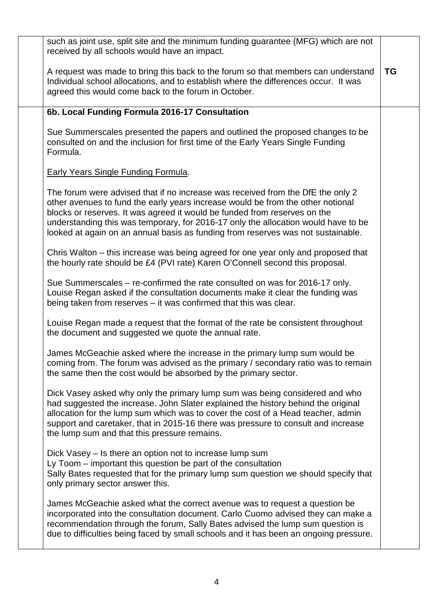| such as joint use, split site and the minimum funding guarantee (MFG) which are not<br>received by all schools would have an impact.                                                                                                                                                                                                                                                                                      |           |
|---------------------------------------------------------------------------------------------------------------------------------------------------------------------------------------------------------------------------------------------------------------------------------------------------------------------------------------------------------------------------------------------------------------------------|-----------|
| A request was made to bring this back to the forum so that members can understand<br>Individual school allocations, and to establish where the differences occur. It was<br>agreed this would come back to the forum in October.                                                                                                                                                                                          | <b>TG</b> |
| 6b. Local Funding Formula 2016-17 Consultation                                                                                                                                                                                                                                                                                                                                                                            |           |
| Sue Summerscales presented the papers and outlined the proposed changes to be<br>consulted on and the inclusion for first time of the Early Years Single Funding<br>Formula.                                                                                                                                                                                                                                              |           |
| <b>Early Years Single Funding Formula.</b>                                                                                                                                                                                                                                                                                                                                                                                |           |
| The forum were advised that if no increase was received from the DfE the only 2<br>other avenues to fund the early years increase would be from the other notional<br>blocks or reserves. It was agreed it would be funded from reserves on the<br>understanding this was temporary, for 2016-17 only the allocation would have to be<br>looked at again on an annual basis as funding from reserves was not sustainable. |           |
| Chris Walton – this increase was being agreed for one year only and proposed that<br>the hourly rate should be £4 (PVI rate) Karen O'Connell second this proposal.                                                                                                                                                                                                                                                        |           |
| Sue Summerscales – re-confirmed the rate consulted on was for 2016-17 only.<br>Louise Regan asked if the consultation documents make it clear the funding was<br>being taken from reserves - it was confirmed that this was clear.                                                                                                                                                                                        |           |
| Louise Regan made a request that the format of the rate be consistent throughout<br>the document and suggested we quote the annual rate.                                                                                                                                                                                                                                                                                  |           |
| James McGeachie asked where the increase in the primary lump sum would be<br>coming from. The forum was advised as the primary / secondary ratio was to remain<br>the same then the cost would be absorbed by the primary sector.                                                                                                                                                                                         |           |
| Dick Vasey asked why only the primary lump sum was being considered and who<br>had suggested the increase. John Slater explained the history behind the original<br>allocation for the lump sum which was to cover the cost of a Head teacher, admin<br>support and caretaker, that in 2015-16 there was pressure to consult and increase<br>the lump sum and that this pressure remains.                                 |           |
| Dick Vasey – Is there an option not to increase lump sum<br>Ly Toom – important this question be part of the consultation<br>Sally Bates requested that for the primary lump sum question we should specify that<br>only primary sector answer this.                                                                                                                                                                      |           |
| James McGeachie asked what the correct avenue was to request a question be<br>incorporated into the consultation document. Carlo Cuomo advised they can make a<br>recommendation through the forum, Sally Bates advised the lump sum question is<br>due to difficulties being faced by small schools and it has been an ongoing pressure.                                                                                 |           |
|                                                                                                                                                                                                                                                                                                                                                                                                                           |           |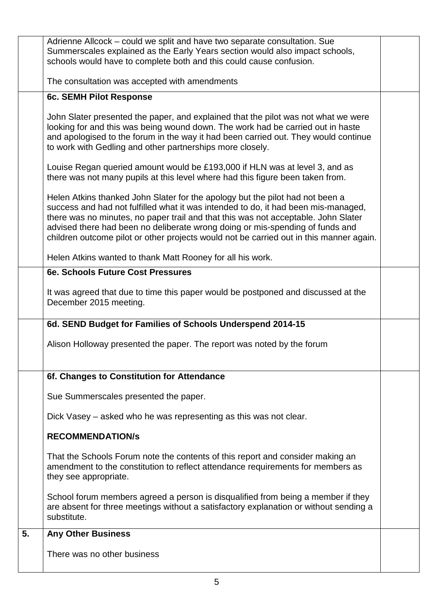|    | Adrienne Allcock – could we split and have two separate consultation. Sue               |  |
|----|-----------------------------------------------------------------------------------------|--|
|    | Summerscales explained as the Early Years section would also impact schools,            |  |
|    | schools would have to complete both and this could cause confusion.                     |  |
|    |                                                                                         |  |
|    | The consultation was accepted with amendments                                           |  |
|    |                                                                                         |  |
|    | 6c. SEMH Pilot Response                                                                 |  |
|    |                                                                                         |  |
|    | John Slater presented the paper, and explained that the pilot was not what we were      |  |
|    | looking for and this was being wound down. The work had be carried out in haste         |  |
|    | and apologised to the forum in the way it had been carried out. They would continue     |  |
|    | to work with Gedling and other partnerships more closely.                               |  |
|    |                                                                                         |  |
|    | Louise Regan queried amount would be £193,000 if HLN was at level 3, and as             |  |
|    | there was not many pupils at this level where had this figure been taken from.          |  |
|    |                                                                                         |  |
|    | Helen Atkins thanked John Slater for the apology but the pilot had not been a           |  |
|    | success and had not fulfilled what it was intended to do, it had been mis-managed,      |  |
|    | there was no minutes, no paper trail and that this was not acceptable. John Slater      |  |
|    | advised there had been no deliberate wrong doing or mis-spending of funds and           |  |
|    | children outcome pilot or other projects would not be carried out in this manner again. |  |
|    | Helen Atkins wanted to thank Matt Rooney for all his work.                              |  |
|    |                                                                                         |  |
|    | 6e. Schools Future Cost Pressures                                                       |  |
|    |                                                                                         |  |
|    | It was agreed that due to time this paper would be postponed and discussed at the       |  |
|    | December 2015 meeting.                                                                  |  |
|    | 6d. SEND Budget for Families of Schools Underspend 2014-15                              |  |
|    |                                                                                         |  |
|    | Alison Holloway presented the paper. The report was noted by the forum                  |  |
|    |                                                                                         |  |
|    |                                                                                         |  |
|    | 6f. Changes to Constitution for Attendance                                              |  |
|    |                                                                                         |  |
|    | Sue Summerscales presented the paper.                                                   |  |
|    |                                                                                         |  |
|    | Dick Vasey – asked who he was representing as this was not clear.                       |  |
|    |                                                                                         |  |
|    | <b>RECOMMENDATION/S</b>                                                                 |  |
|    |                                                                                         |  |
|    | That the Schools Forum note the contents of this report and consider making an          |  |
|    | amendment to the constitution to reflect attendance requirements for members as         |  |
|    | they see appropriate.                                                                   |  |
|    | School forum members agreed a person is disqualified from being a member if they        |  |
|    | are absent for three meetings without a satisfactory explanation or without sending a   |  |
|    | substitute.                                                                             |  |
|    |                                                                                         |  |
| 5. | <b>Any Other Business</b>                                                               |  |
|    |                                                                                         |  |
|    | There was no other business                                                             |  |
|    |                                                                                         |  |